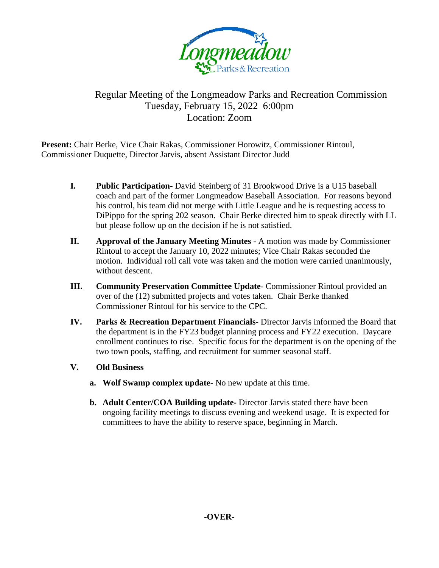

## Regular Meeting of the Longmeadow Parks and Recreation Commission Tuesday, February 15, 2022 6:00pm Location: Zoom

**Present:** Chair Berke, Vice Chair Rakas, Commissioner Horowitz, Commissioner Rintoul, Commissioner Duquette, Director Jarvis, absent Assistant Director Judd

- **I. Public Participation** David Steinberg of 31 Brookwood Drive is a U15 baseball coach and part of the former Longmeadow Baseball Association. For reasons beyond his control, his team did not merge with Little League and he is requesting access to DiPippo for the spring 202 season. Chair Berke directed him to speak directly with LL but please follow up on the decision if he is not satisfied.
- **II. Approval of the January Meeting Minutes**  A motion was made by Commissioner Rintoul to accept the January 10, 2022 minutes; Vice Chair Rakas seconded the motion. Individual roll call vote was taken and the motion were carried unanimously, without descent.
- **III. Community Preservation Committee Update** Commissioner Rintoul provided an over of the (12) submitted projects and votes taken. Chair Berke thanked Commissioner Rintoul for his service to the CPC.
- **IV. Parks & Recreation Department Financials** Director Jarvis informed the Board that the department is in the FY23 budget planning process and FY22 execution. Daycare enrollment continues to rise. Specific focus for the department is on the opening of the two town pools, staffing, and recruitment for summer seasonal staff.
- **V. Old Business**
	- **a. Wolf Swamp complex update** No new update at this time.
	- **b. Adult Center/COA Building update-** Director Jarvis stated there have been ongoing facility meetings to discuss evening and weekend usage. It is expected for committees to have the ability to reserve space, beginning in March.